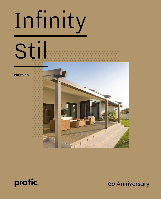# Infinity



## Pergolas

 $1111$ 



60 Anniversary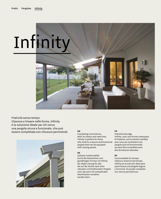## Infinity

Praticità senza tempo. Classica e lineare nelle forme, Infinity è la soluzione ideale per chi cerca una pergola sicura e funzionale, che può essere completata con chiusure perimetrali. **EN** 



Everlasting convenience. With its classic and neat lines, Infinity is perfect for those who look for a secure and functional pergola that can be equipped with closing panels.

### **DE**

Zeitlose Funktionalität. Durch die klassischen und geradlinigen Formen ist Infinity die ideale Lösung für alle, die auf der Suche nach einer robusten und funktionalen Pergola sind, die auch mit umlaufenden Abschlüssen versehen werden kann.

### **FR**

Praticité sans âge. Infinity, avec ses formes classiques et linéaires, est la solution parfaite pour ceux qui souhaitent une pergola sûre et fonctionnelle, qui peut être complétée avec des fermetures laterales.

### **ES**

Funcionalidad sin tiempo. Clásica y lineal en las formas, Infinity es la solución ideal para quien busca una pérgola segura y funcional. Se puede completar con cierres perimétricos.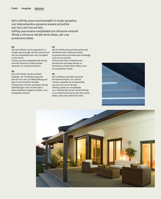Stil e Infinity sono movimentabili in modo semplice, con telecomando e possono essere arricchite con luci Led Line sul telo. Infinity può essere completata con chiusure verticali Windy o chiusure vetrate Serie Glass, per una protezione totale.

### **EN**

### **FR**

Stil and Infinity can be operated in a simple way through remote control and can be completed with Led Line lights on the cover.

Infinity can be completed with Windy vertical closures or Glass Series closures, for a total protection.

### **DE**

Stil und Infinity werden einfach betätigt, mit Fernbedienung und können mit Led Line Beleuchtung auf dem Tuch bereichert werden. Infinity kann mit den vertikalen Windy Schließungen oder mit den Serie Glass Glastüren ergänzt werden, zum kompletten Schutz.

Stil et Infinity peuvent être actionnés facilement avec télécommande, et peuvent être enrichies avec éclairage Led Line sur la toile. Infinity peut être completé avec fermetures verticales Windy ou fermetures vitrées Série Glass, pour une protection totale.

### **ES**

Stil y Infinity se pueden accionar de manera simple, con control remoto y pueden ser enriquecidas con luz Led Line en la lona. Infinity puede ser completada con sistema de cierres vertical Windy o con sistema de cierres de vidrio Serie Glass, para una protección total.



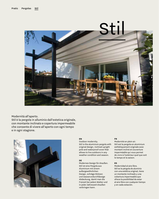

Modernità all'aperto.

Stil è la pergola in alluminio dall'estetica originale, con montante inclinato e copertura impermeabile che consente di vivere all'aperto con ogni tempo e in ogni stagione.



### **EN**

Outdoor modernity. Stil is the aluminium pergola with original design, inclined upright pole and waterproof cover that allows to live outdoors in any weather condition and season.

### **DE**

Modernes Design für draußen. Stil ist eine Pergola aus Aluminium mit einem außergewöhnlichen Design, schräge Stützen und wasserundurchlässige Abdeckung, damit man die Freizeit bei jedem Wetter und in jeder Jahreszeit draußen verbringen kann.

### **FR**

Modernité en plein air. Stil est la pergola en aluminium esthétiquement originale avec montant incliné et couverture imperméable qui vous permet de vivre à l'extérieur quel que soit le temps et la saison.

### **ES**

Modernidad al aire libre. Stil es la pérgola de aluminio con una estética original, tiene un montante inclinado y una cobertura impermeable que ofrece la posibilidad de estar al aire libre con cualquier tiempo y en cada estación.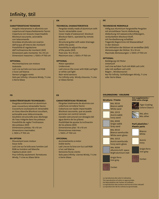### **IT**

### **CARATTERISTICHE TECNICHE**

- · Pergole interamente in alluminio con copertura ad impacchettamento Tecnic
- Copertura con tessuto impermeabile Blockout oscurante, azionabile con telecomando
- Grondaia strutturale con scarico dell'acqua all'interno dei montanti
- Possibilità di regolazione dell'inclinazione dei montanti (Stil)
- Dimensioni palo montante: 15 x 10 cm
- · Dimensioni massime: L 1300 x P 700 cm

### **OPTIONAL**

- · Movimentazione con motore
- · Sottotelo
- Led Line sul telo con luce Led RGB o luce Led bianca
- Sensori pioggia-vento
- Solo per Infinity: chiusure Windy, T-Line o Serie Glass

### **FR**

### **CARACTÉRISTIQUES TECHNIQUES :**

- · Pergolas entièrement en aluminium avec couverture retractable Tecnic
- · Couverture coulissante et retractable en tissu étanche Blockout occultant, actionable avec télécommande.
- Gouttière structurelle avec décharge de l'eau intégrée dans les poteaux
- Possibilité de regler l'inclinaison des poteaux (Stil)
- Dimensions poteau: 15 x 10 cm
- · Dimensions maximales: L 1300 x P 700 cm

### **EN OPTION**

- Mouvement avec moteur
- · Sous-toile
- Led Line sur la toile avec lumière Led RGB ou lumière Led blanche
- Capteurs pluie-vent
- · Pour Infinity seulement: fermetures Windy, T-Line ou Glass Série

### **EN**

### **TECHNICAL CHARACTERISTICS**

- Pergolas totally made of aluminium with Tecnic retractable cover
- Cover made of waterproof, blockout Blockout fabric, operated by remote control
- Structural gutter with water drainage within the posts
- Possibility to adjust the slope of the posts (Stil)
- Post size: 15 x 10 cm
- Maximum size: L1300 x P700 cm

### **OPTIONAL**

**ES**

- Motor operation
- **Undercover**
- Led Line on the cover with RGB Led light or white Led light
- Rain-wind sensors
- For Infinity only: Windy closures, T-Line or Glass Series

Pèrgolas totalmente de aluminio con cobertura corredera Tecnic Cobertura con tejido impermeable Blockout oscurante, que se puede accionar con control remoto Canalón estructural con desagüe del

· Posibilidad de ajustar la inclinación

Led Line en la lona con luz Led RGB

Solo para Infinity: cierres Windy, T-Line

**CARACTERÍSTICAS TÉCNICAS**

agua dentro de los pilares

Dimensiones pilar: 15 x 10 cm · Dimensiones máximas: L 1300 x P 700 cm

de los pilares (Stil)

Accionamiento a motor

**OPCIONAL**

· Doble techo

o luz Led blanca Sensores lluvia-viento

o Serie Glass

### **DE**

### **TECHNISCHE MERKMALE**

- · Völlig aus Aluminium hergestellte Pergolen mit einziehbarer Tecnic Abdeckung
- · Abdeckung mit wasserundurchlässigem, verdunkeltem Blockout Stoff, mit Fernbedienung schaltbar
- · Tragende Regenrinne mit Wasserablauf in den Stützen
- Die Inklination der Stützen ist verstellbar (Stil)
- Abmessungen der Stütze: 15 x 10 cm
- · Maximale Abmessungen: L 1300 x P 700 cm

### **OPTIONAL**

- · Betätigung mit Motor
- **Untertuch**
- Led Line auf dem Tuch mit RGB Led Licht oder mit weißem Led Licht
- Regen-, Windsensoren
- · Nur für Infinity: Schließungen Windy, T-Line oder Serie Glass

### **COLORAZIONI** / **COLOURS**



La riproduzione dei colori è indicativa. The reproduction of colors is approximate. Die Reproduktion der Farben ist indikativ. La reproduction des couleurs est fournie à titre indicatif. La reproducción de los colores es aproximada.